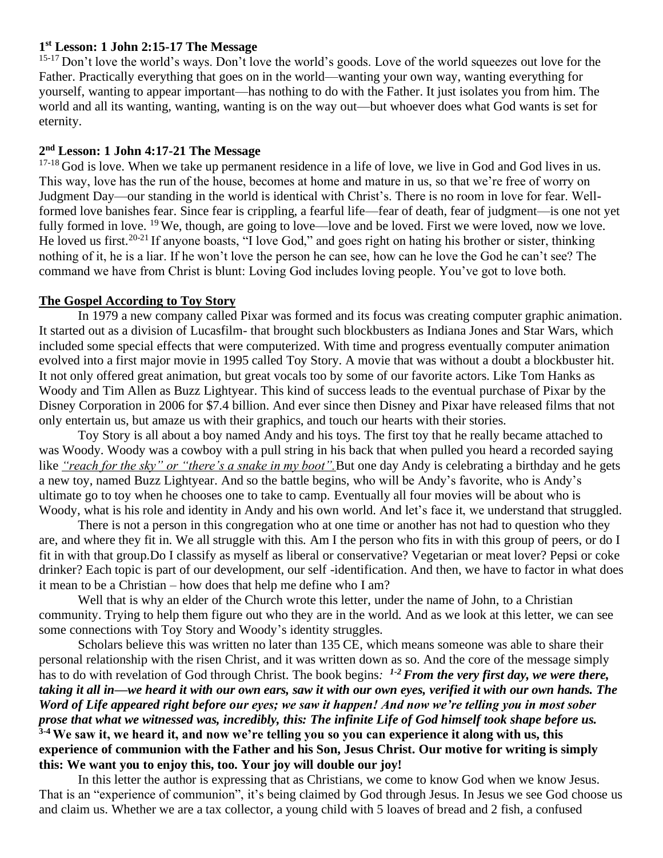## **1 st Lesson: 1 John 2:15-17 The Message**

<sup>15-17</sup> Don't love the world's ways. Don't love the world's goods. Love of the world squeezes out love for the Father. Practically everything that goes on in the world—wanting your own way, wanting everything for yourself, wanting to appear important—has nothing to do with the Father. It just isolates you from him. The world and all its wanting, wanting, wanting is on the way out—but whoever does what God wants is set for eternity.

## **2 nd Lesson: 1 John 4:17-21 The Message**

 $17-18$  God is love. When we take up permanent residence in a life of love, we live in God and God lives in us. This way, love has the run of the house, becomes at home and mature in us, so that we're free of worry on Judgment Day—our standing in the world is identical with Christ's. There is no room in love for fear. Wellformed love banishes fear. Since fear is crippling, a fearful life—fear of death, fear of judgment—is one not yet fully formed in love. <sup>19</sup> We, though, are going to love—love and be loved. First we were loved, now we love. He loved us first.<sup>20-21</sup> If anyone boasts, "I love God," and goes right on hating his brother or sister, thinking nothing of it, he is a liar. If he won't love the person he can see, how can he love the God he can't see? The command we have from Christ is blunt: Loving God includes loving people. You've got to love both.

## **The Gospel According to Toy Story**

In 1979 a new company called Pixar was formed and its focus was creating computer graphic animation. It started out as a division of Lucasfilm- that brought such blockbusters as Indiana Jones and Star Wars, which included some special effects that were computerized. With time and progress eventually computer animation evolved into a first major movie in 1995 called Toy Story. A movie that was without a doubt a blockbuster hit. It not only offered great animation, but great vocals too by some of our favorite actors. Like Tom Hanks as Woody and Tim Allen as Buzz Lightyear. This kind of success leads to the eventual purchase of Pixar by the Disney Corporation in 2006 for \$7.4 billion. And ever since then Disney and Pixar have released films that not only entertain us, but amaze us with their graphics, and touch our hearts with their stories.

Toy Story is all about a boy named Andy and his toys. The first toy that he really became attached to was Woody. Woody was a cowboy with a pull string in his back that when pulled you heard a recorded saying like *"reach for the sky" or "there's a snake in my boot"*. But one day Andy is celebrating a birthday and he gets a new toy, named Buzz Lightyear. And so the battle begins, who will be Andy's favorite, who is Andy's ultimate go to toy when he chooses one to take to camp. Eventually all four movies will be about who is Woody, what is his role and identity in Andy and his own world. And let's face it, we understand that struggled.

There is not a person in this congregation who at one time or another has not had to question who they are, and where they fit in. We all struggle with this. Am I the person who fits in with this group of peers, or do I fit in with that group.Do I classify as myself as liberal or conservative? Vegetarian or meat lover? Pepsi or coke drinker? Each topic is part of our development, our self -identification. And then, we have to factor in what does it mean to be a Christian – how does that help me define who I am?

Well that is why an elder of the Church wrote this letter, under the name of John, to a Christian community. Trying to help them figure out who they are in the world. And as we look at this letter, we can see some connections with Toy Story and Woody's identity struggles.

Scholars believe this was written no later than 135 CE, which means someone was able to share their personal relationship with the risen Christ, and it was written down as so. And the core of the message simply has to do with revelation of God through Christ. The book begins*: 1-2 From the very first day, we were there, taking it all in—we heard it with our own ears, saw it with our own eyes, verified it with our own hands. The Word of Life appeared right before our eyes; we saw it happen! And now we're telling you in most sober prose that what we witnessed was, incredibly, this: The infinite Life of God himself took shape before us.* **3-4 We saw it, we heard it, and now we're telling you so you can experience it along with us, this experience of communion with the Father and his Son, Jesus Christ. Our motive for writing is simply this: We want you to enjoy this, too. Your joy will double our joy!**

In this letter the author is expressing that as Christians, we come to know God when we know Jesus. That is an "experience of communion", it's being claimed by God through Jesus. In Jesus we see God choose us and claim us. Whether we are a tax collector, a young child with 5 loaves of bread and 2 fish, a confused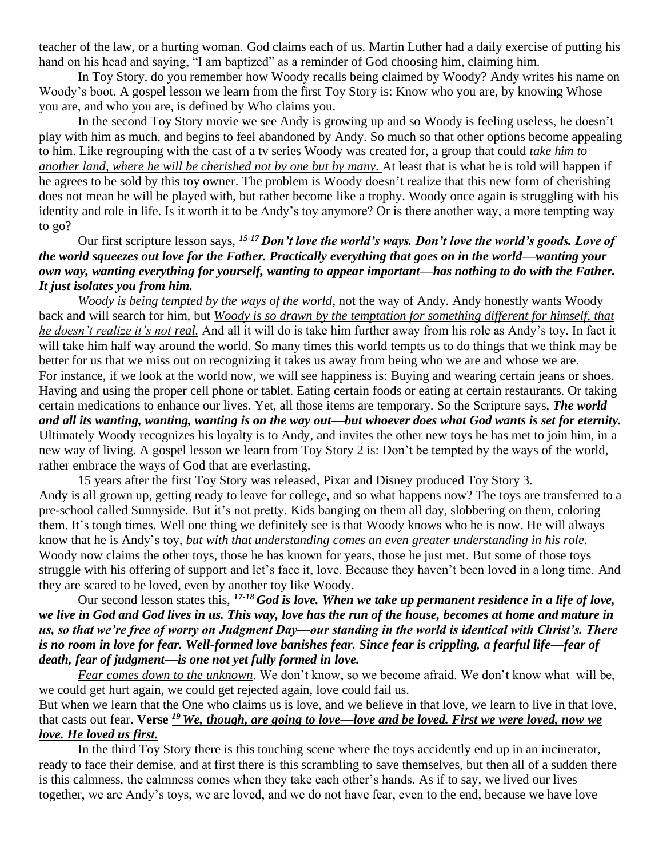teacher of the law, or a hurting woman. God claims each of us. Martin Luther had a daily exercise of putting his hand on his head and saying, "I am baptized" as a reminder of God choosing him, claiming him.

In Toy Story, do you remember how Woody recalls being claimed by Woody? Andy writes his name on Woody's boot. A gospel lesson we learn from the first Toy Story is: Know who you are, by knowing Whose you are, and who you are, is defined by Who claims you.

In the second Toy Story movie we see Andy is growing up and so Woody is feeling useless, he doesn't play with him as much, and begins to feel abandoned by Andy. So much so that other options become appealing to him. Like regrouping with the cast of a tv series Woody was created for, a group that could *take him to another land, where he will be cherished not by one but by many.* At least that is what he is told will happen if he agrees to be sold by this toy owner. The problem is Woody doesn't realize that this new form of cherishing does not mean he will be played with, but rather become like a trophy. Woody once again is struggling with his identity and role in life. Is it worth it to be Andy's toy anymore? Or is there another way, a more tempting way to go?

Our first scripture lesson says, *15-17 Don't love the world's ways. Don't love the world's goods. Love of the world squeezes out love for the Father. Practically everything that goes on in the world—wanting your own way, wanting everything for yourself, wanting to appear important—has nothing to do with the Father. It just isolates you from him.* 

*Woody is being tempted by the ways of the world*, not the way of Andy. Andy honestly wants Woody back and will search for him, but *Woody is so drawn by the temptation for something different for himself, that he doesn't realize it's not real.* And all it will do is take him further away from his role as Andy's toy. In fact it will take him half way around the world. So many times this world tempts us to do things that we think may be better for us that we miss out on recognizing it takes us away from being who we are and whose we are. For instance, if we look at the world now, we will see happiness is: Buying and wearing certain jeans or shoes. Having and using the proper cell phone or tablet. Eating certain foods or eating at certain restaurants. Or taking certain medications to enhance our lives. Yet, all those items are temporary. So the Scripture says, *The world and all its wanting, wanting, wanting is on the way out—but whoever does what God wants is set for eternity.* Ultimately Woody recognizes his loyalty is to Andy, and invites the other new toys he has met to join him, in a new way of living. A gospel lesson we learn from Toy Story 2 is: Don't be tempted by the ways of the world, rather embrace the ways of God that are everlasting.

15 years after the first Toy Story was released, Pixar and Disney produced Toy Story 3. Andy is all grown up, getting ready to leave for college, and so what happens now? The toys are transferred to a pre-school called Sunnyside. But it's not pretty. Kids banging on them all day, slobbering on them, coloring them. It's tough times. Well one thing we definitely see is that Woody knows who he is now. He will always know that he is Andy's toy, *but with that understanding comes an even greater understanding in his role.*  Woody now claims the other toys, those he has known for years, those he just met. But some of those toys struggle with his offering of support and let's face it, love. Because they haven't been loved in a long time. And they are scared to be loved, even by another toy like Woody.

Our second lesson states this, *17-18 God is love. When we take up permanent residence in a life of love, we live in God and God lives in us. This way, love has the run of the house, becomes at home and mature in us, so that we're free of worry on Judgment Day—our standing in the world is identical with Christ's. There is no room in love for fear. Well-formed love banishes fear. Since fear is crippling, a fearful life—fear of death, fear of judgment—is one not yet fully formed in love.*

*Fear comes down to the unknown*. We don't know, so we become afraid. We don't know what will be, we could get hurt again, we could get rejected again, love could fail us.

But when we learn that the One who claims us is love, and we believe in that love, we learn to live in that love, that casts out fear. **Verse** *<sup>19</sup> We, though, are going to love—love and be loved. First we were loved, now we love. He loved us first.*

In the third Toy Story there is this touching scene where the toys accidently end up in an incinerator, ready to face their demise, and at first there is this scrambling to save themselves, but then all of a sudden there is this calmness, the calmness comes when they take each other's hands. As if to say, we lived our lives together, we are Andy's toys, we are loved, and we do not have fear, even to the end, because we have love